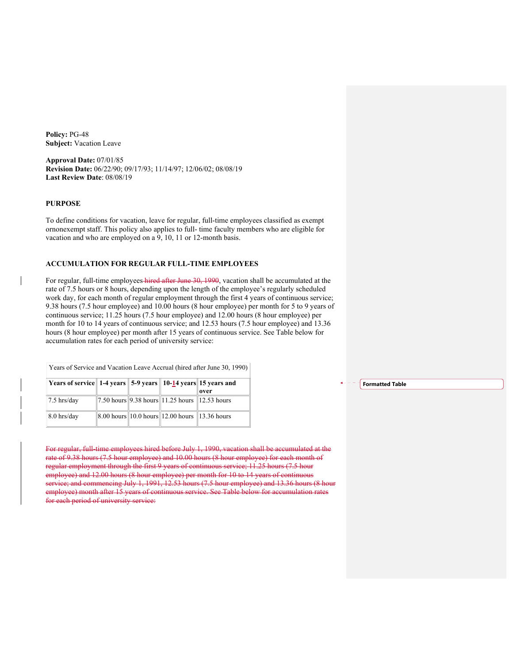**Policy:** PG-48 **Subject:** Vacation Leave

**Approval Date:** 07/01/85 **Revision Date:** 06/22/90; 09/17/93; 11/14/97; 12/06/02; 08/08/19 **Last Review Date**: 08/08/19

## **PURPOSE**

To define conditions for vacation, leave for regular, full-time employees classified as exempt or nonexempt staff. This policy also applies to full- time faculty members who are eligible for vacation and who are employed on a 9, 10, 11 or 12-month basis.

### **ACCUMULATION FOR REGULAR FULL-TIME EMPLOYEES**

For regular, full-time employees hired after June 30, 1990, vacation shall be accumulated at the rate of 7.5 hours or 8 hours, depending upon the length of the employee's regularly scheduled work day, for each month of regular employment through the first 4 years of continuous service; 9.38 hours (7.5 hour employee) and 10.00 hours (8 hour employee) per month for 5 to 9 years of continuous service; 11.25 hours (7.5 hour employee) and 12.00 hours (8 hour employee) per month for 10 to 14 years of continuous service; and 12.53 hours (7.5 hour employee) and 13.36 hours (8 hour employee) per month after 15 years of continuous service. See Table below for accumulation rates for each period of university service:

| Years of service 1-4 years 5-9 years 10-14 years 15 years and |  |                                                                                         | over |
|---------------------------------------------------------------|--|-----------------------------------------------------------------------------------------|------|
| $7.5$ hrs/day                                                 |  | $\ 7.50 \text{ hours} \ 9.38 \text{ hours} \ 11.25 \text{ hours} \ 12.53 \text{ hours}$ |      |
| 8.0 hrs/day                                                   |  | 8.00 hours 10.0 hours 12.00 hours 13.36 hours                                           |      |

Years of Service and Vacation Leave Accrual (hired after June 30, 1990)

For regular, full-time employees hired before July 1, 1990, vacation shall be accumulated at the rate of 9.38 hours (7.5 hour employee) and 10.00 hours (8 hour employee) for each month of regular employment through the first 9 years of continuous service; 11.25 hours (7.5 hour employee) and 12.00 hours (8 hour employee) per month for 10 to 14 years of continuous service; and commencing July 1, 1991, 12.53 hours (7.5 hour employee) and 13.36 hours (8 hour employee) month after 15 years of continuous service. See Table below for accumulation rates for each period of university service:

**Formatted Table**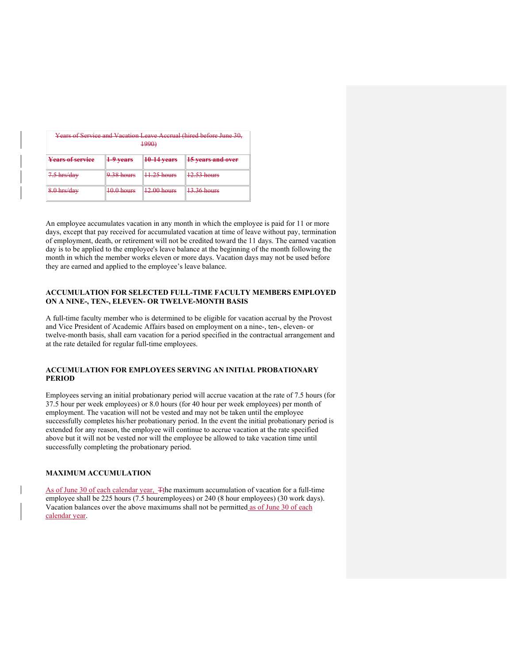| Years of Service and Vacation Leave Accrual (hired before June 30,<br><del>1990)</del> |                              |                                       |                                         |  |  |  |
|----------------------------------------------------------------------------------------|------------------------------|---------------------------------------|-----------------------------------------|--|--|--|
| <b>Years of service</b>                                                                | <del>1-9 vears</del>         | $10-14$ years                         | <b>15 years and over</b>                |  |  |  |
| $7.5$ hrs/day                                                                          | $0.28$ hours<br>$7.56$ modes | $H.25$ hours                          | $12.52 \text{ hours}$<br>12.33 HVIII S  |  |  |  |
| 8.0 hrs/day                                                                            | $10.0$ hours<br><del>.</del> | $12.00 \text{ hours}$<br><del>.</del> | $12.36$ hours<br><del>19.90 nours</del> |  |  |  |

An employee accumulates vacation in any month in which the employee is paid for 11 or more days, except that pay received for accumulated vacation at time of leave without pay, termination of employment, death, or retirement will not be credited toward the 11 days. The earned vacation day is to be applied to the employee's leave balance at the beginning of the month following the month in which the member works eleven or more days. Vacation days may not be used before they are earned and applied to the employee's leave balance.

## **ACCUMULATION FOR SELECTED FULL-TIME FACULTY MEMBERS EMPLOYED ON A NINE-, TEN-, ELEVEN- OR TWELVE-MONTH BASIS**

A full-time faculty member who is determined to be eligible for vacation accrual by the Provost and Vice President of Academic Affairs based on employment on a nine-, ten-, eleven- or twelve-month basis, shall earn vacation for a period specified in the contractual arrangement and at the rate detailed for regular full-time employees.

# **ACCUMULATION FOR EMPLOYEES SERVING AN INITIAL PROBATIONARY PERIOD**

Employees serving an initial probationary period will accrue vacation at the rate of 7.5 hours (for 37.5 hour per week employees) or 8.0 hours (for 40 hour per week employees) per month of employment. The vacation will not be vested and may not be taken until the employee successfully completes his/her probationary period. In the event the initial probationary period is extended for any reason, the employee will continue to accrue vacation at the rate specified above but it will not be vested nor will the employee be allowed to take vacation time until successfully completing the probationary period.

### **MAXIMUM ACCUMULATION**

As of June 30 of each calendar year, Tthe maximum accumulation of vacation for a full-time employee shall be 225 hours (7.5 houremployees) or 240 (8 hour employees) (30 work days). Vacation balances over the above maximums shall not be permitted as of June 30 of each calendar year.